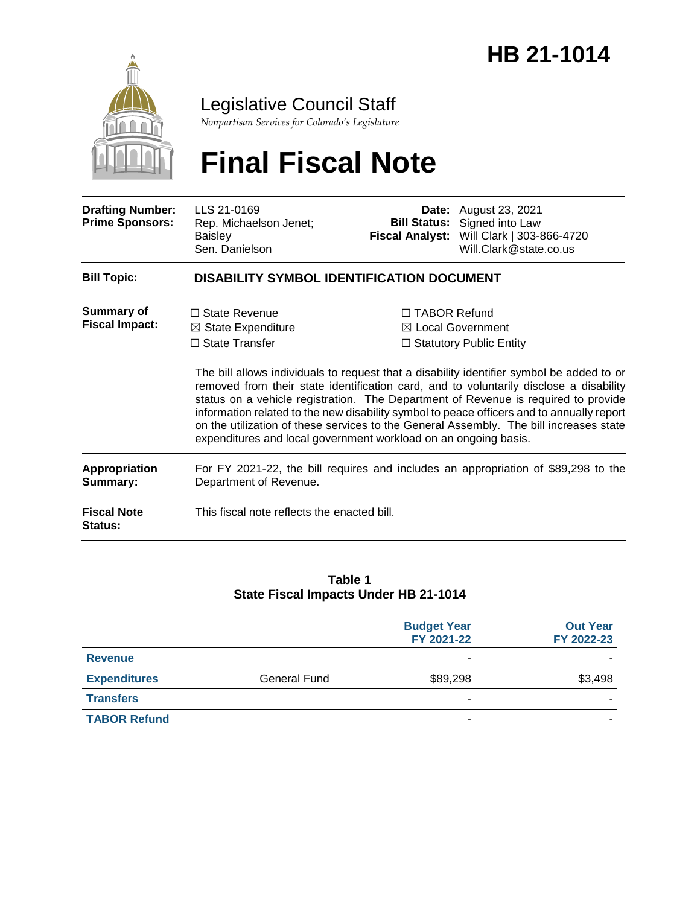

Legislative Council Staff

*Nonpartisan Services for Colorado's Legislature*

# **Final Fiscal Note**

| <b>Drafting Number:</b><br><b>Prime Sponsors:</b> | LLS 21-0169<br>Rep. Michaelson Jenet;<br><b>Baisley</b><br>Sen. Danielson                                                                         |                     | <b>Date:</b> August 23, 2021<br><b>Bill Status:</b> Signed into Law<br>Fiscal Analyst: Will Clark   303-866-4720<br>Will.Clark@state.co.us                                                                                                                                                                                                                                                                                                                                                                               |  |  |
|---------------------------------------------------|---------------------------------------------------------------------------------------------------------------------------------------------------|---------------------|--------------------------------------------------------------------------------------------------------------------------------------------------------------------------------------------------------------------------------------------------------------------------------------------------------------------------------------------------------------------------------------------------------------------------------------------------------------------------------------------------------------------------|--|--|
| <b>Bill Topic:</b>                                | DISABILITY SYMBOL IDENTIFICATION DOCUMENT                                                                                                         |                     |                                                                                                                                                                                                                                                                                                                                                                                                                                                                                                                          |  |  |
| Summary of<br><b>Fiscal Impact:</b>               | $\Box$ State Revenue<br>$\boxtimes$ State Expenditure<br>$\Box$ State Transfer<br>expenditures and local government workload on an ongoing basis. | $\Box$ TABOR Refund | ⊠ Local Government<br>$\Box$ Statutory Public Entity<br>The bill allows individuals to request that a disability identifier symbol be added to or<br>removed from their state identification card, and to voluntarily disclose a disability<br>status on a vehicle registration. The Department of Revenue is required to provide<br>information related to the new disability symbol to peace officers and to annually report<br>on the utilization of these services to the General Assembly. The bill increases state |  |  |
| <b>Appropriation</b><br>Summary:                  | For FY 2021-22, the bill requires and includes an appropriation of \$89,298 to the<br>Department of Revenue.                                      |                     |                                                                                                                                                                                                                                                                                                                                                                                                                                                                                                                          |  |  |
| <b>Fiscal Note</b><br>Status:                     | This fiscal note reflects the enacted bill.                                                                                                       |                     |                                                                                                                                                                                                                                                                                                                                                                                                                                                                                                                          |  |  |

#### **Table 1 State Fiscal Impacts Under HB 21-1014**

|                     |                     | <b>Budget Year</b><br>FY 2021-22 | <b>Out Year</b><br>FY 2022-23 |
|---------------------|---------------------|----------------------------------|-------------------------------|
| <b>Revenue</b>      |                     | -                                |                               |
| <b>Expenditures</b> | <b>General Fund</b> | \$89,298                         | \$3,498                       |
| <b>Transfers</b>    |                     | ۰                                |                               |
| <b>TABOR Refund</b> |                     |                                  |                               |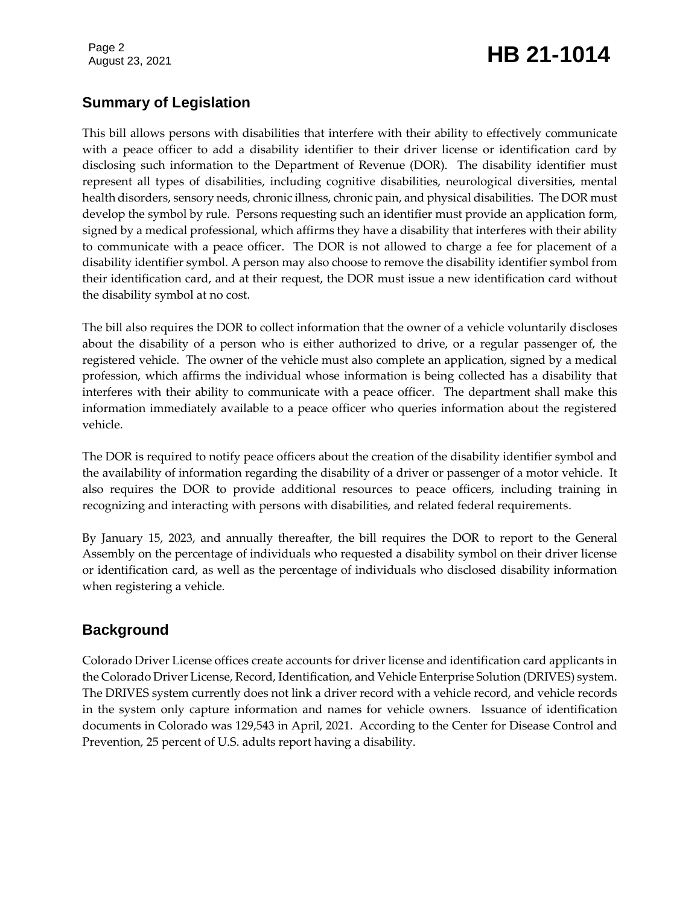# August 23, 2021 **HB 21-1014**

# **Summary of Legislation**

This bill allows persons with disabilities that interfere with their ability to effectively communicate with a peace officer to add a disability identifier to their driver license or identification card by disclosing such information to the Department of Revenue (DOR). The disability identifier must represent all types of disabilities, including cognitive disabilities, neurological diversities, mental health disorders, sensory needs, chronic illness, chronic pain, and physical disabilities. The DOR must develop the symbol by rule. Persons requesting such an identifier must provide an application form, signed by a medical professional, which affirms they have a disability that interferes with their ability to communicate with a peace officer. The DOR is not allowed to charge a fee for placement of a disability identifier symbol. A person may also choose to remove the disability identifier symbol from their identification card, and at their request, the DOR must issue a new identification card without the disability symbol at no cost.

The bill also requires the DOR to collect information that the owner of a vehicle voluntarily discloses about the disability of a person who is either authorized to drive, or a regular passenger of, the registered vehicle. The owner of the vehicle must also complete an application, signed by a medical profession, which affirms the individual whose information is being collected has a disability that interferes with their ability to communicate with a peace officer. The department shall make this information immediately available to a peace officer who queries information about the registered vehicle.

The DOR is required to notify peace officers about the creation of the disability identifier symbol and the availability of information regarding the disability of a driver or passenger of a motor vehicle. It also requires the DOR to provide additional resources to peace officers, including training in recognizing and interacting with persons with disabilities, and related federal requirements.

By January 15, 2023, and annually thereafter, the bill requires the DOR to report to the General Assembly on the percentage of individuals who requested a disability symbol on their driver license or identification card, as well as the percentage of individuals who disclosed disability information when registering a vehicle.

# **Background**

Colorado Driver License offices create accounts for driver license and identification card applicants in the Colorado Driver License, Record, Identification, and Vehicle Enterprise Solution (DRIVES) system. The DRIVES system currently does not link a driver record with a vehicle record, and vehicle records in the system only capture information and names for vehicle owners. Issuance of identification documents in Colorado was 129,543 in April, 2021. According to the Center for Disease Control and Prevention, 25 percent of U.S. adults report having a disability.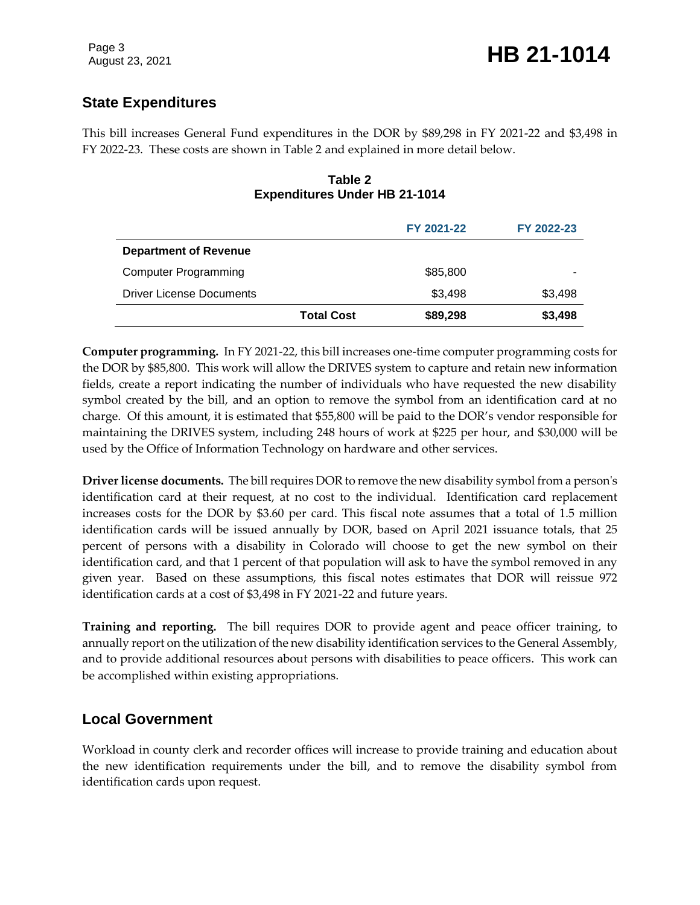# **State Expenditures**

This bill increases General Fund expenditures in the DOR by \$89,298 in FY 2021-22 and \$3,498 in FY 2022-23. These costs are shown in Table 2 and explained in more detail below.

#### **Table 2 Expenditures Under HB 21-1014**

|                                 |                   | FY 2021-22 | FY 2022-23 |
|---------------------------------|-------------------|------------|------------|
| <b>Department of Revenue</b>    |                   |            |            |
| <b>Computer Programming</b>     |                   | \$85,800   |            |
| <b>Driver License Documents</b> |                   | \$3,498    | \$3,498    |
|                                 | <b>Total Cost</b> | \$89,298   | \$3,498    |

**Computer programming.** In FY 2021-22, this bill increases one-time computer programming costs for the DOR by \$85,800. This work will allow the DRIVES system to capture and retain new information fields, create a report indicating the number of individuals who have requested the new disability symbol created by the bill, and an option to remove the symbol from an identification card at no charge. Of this amount, it is estimated that \$55,800 will be paid to the DOR's vendor responsible for maintaining the DRIVES system, including 248 hours of work at \$225 per hour, and \$30,000 will be used by the Office of Information Technology on hardware and other services.

**Driver license documents.** The bill requires DOR to remove the new disability symbol from a person's identification card at their request, at no cost to the individual. Identification card replacement increases costs for the DOR by \$3.60 per card. This fiscal note assumes that a total of 1.5 million identification cards will be issued annually by DOR, based on April 2021 issuance totals, that 25 percent of persons with a disability in Colorado will choose to get the new symbol on their identification card, and that 1 percent of that population will ask to have the symbol removed in any given year. Based on these assumptions, this fiscal notes estimates that DOR will reissue 972 identification cards at a cost of \$3,498 in FY 2021-22 and future years.

**Training and reporting.** The bill requires DOR to provide agent and peace officer training, to annually report on the utilization of the new disability identification services to the General Assembly, and to provide additional resources about persons with disabilities to peace officers. This work can be accomplished within existing appropriations.

# **Local Government**

Workload in county clerk and recorder offices will increase to provide training and education about the new identification requirements under the bill, and to remove the disability symbol from identification cards upon request.